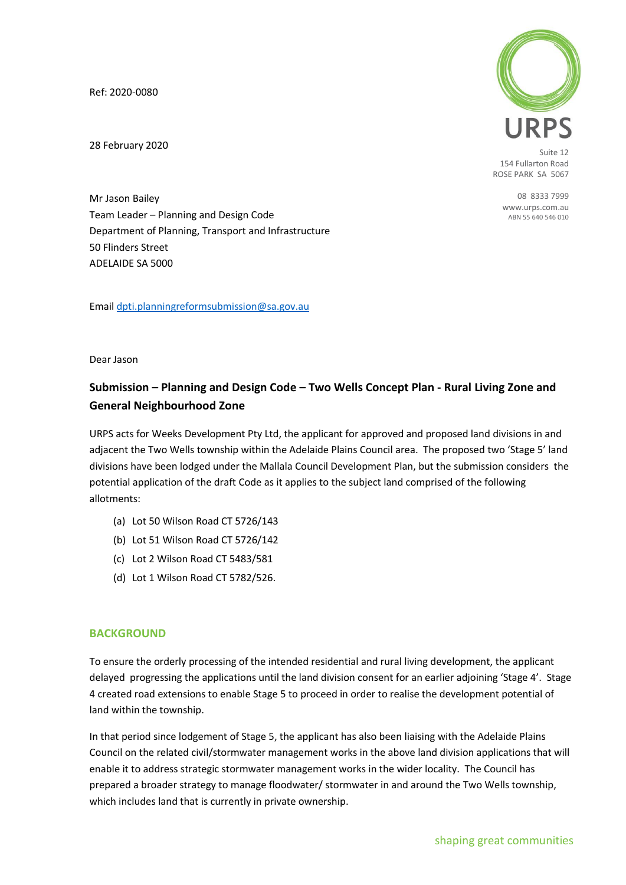Ref: 2020-0080

28 February 2020



Suite 12 154 Fullarton Road ROSE PARK SA 5067

> 08 8333 7999 [www.urps.com.au](http://www.urps.com.au/) ABN 55 640 546 010

Mr Jason Bailey Team Leader – Planning and Design Code Department of Planning, Transport and Infrastructure 50 Flinders Street ADELAIDE SA 5000

Email [dpti.planningreformsubmission@sa.gov.au](mailto:dpti.planningreformsubmission@sa.gov.au)

Dear Jason

# **Submission – Planning and Design Code – Two Wells Concept Plan - Rural Living Zone and General Neighbourhood Zone**

URPS acts for Weeks Development Pty Ltd, the applicant for approved and proposed land divisions in and adjacent the Two Wells township within the Adelaide Plains Council area. The proposed two 'Stage 5' land divisions have been lodged under the Mallala Council Development Plan, but the submission considers the potential application of the draft Code as it applies to the subject land comprised of the following allotments:

- (a) Lot 50 Wilson Road CT 5726/143
- (b) Lot 51 Wilson Road CT 5726/142
- (c) Lot 2 Wilson Road CT 5483/581
- (d) Lot 1 Wilson Road CT 5782/526.

# **BACKGROUND**

To ensure the orderly processing of the intended residential and rural living development, the applicant delayed progressing the applications until the land division consent for an earlier adjoining 'Stage 4'. Stage 4 created road extensions to enable Stage 5 to proceed in order to realise the development potential of land within the township.

In that period since lodgement of Stage 5, the applicant has also been liaising with the Adelaide Plains Council on the related civil/stormwater management works in the above land division applications that will enable it to address strategic stormwater management works in the wider locality. The Council has prepared a broader strategy to manage floodwater/ stormwater in and around the Two Wells township, which includes land that is currently in private ownership.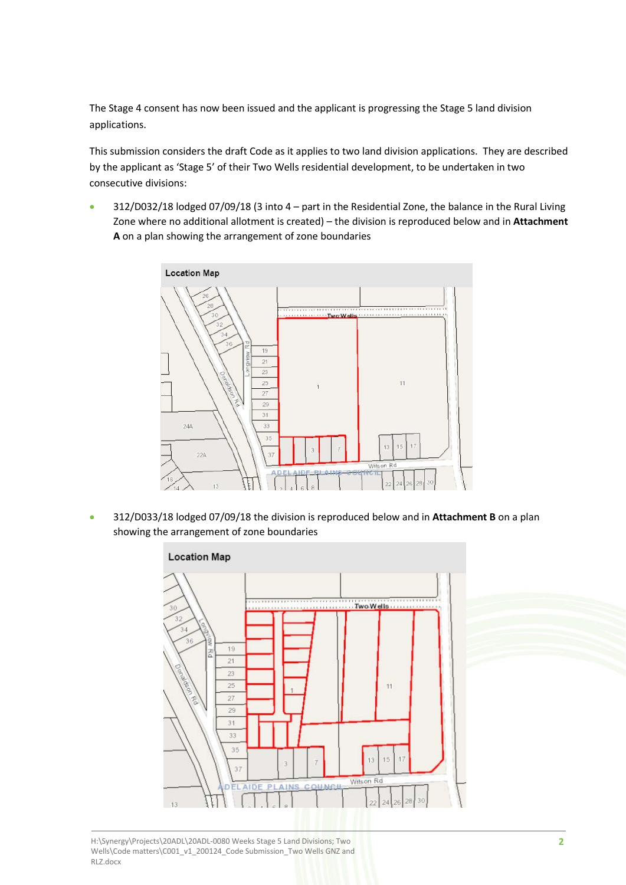The Stage 4 consent has now been issued and the applicant is progressing the Stage 5 land division applications.

This submission considers the draft Code as it applies to two land division applications. They are described by the applicant as 'Stage 5' of their Two Wells residential development, to be undertaken in two consecutive divisions:

• 312/D032/18 lodged 07/09/18 (3 into 4 – part in the Residential Zone, the balance in the Rural Living Zone where no additional allotment is created) – the division is reproduced below and in **Attachment A** on a plan showing the arrangement of zone boundaries



• 312/D033/18 lodged 07/09/18 the division is reproduced below and in **Attachment B** on a plan showing the arrangement of zone boundaries

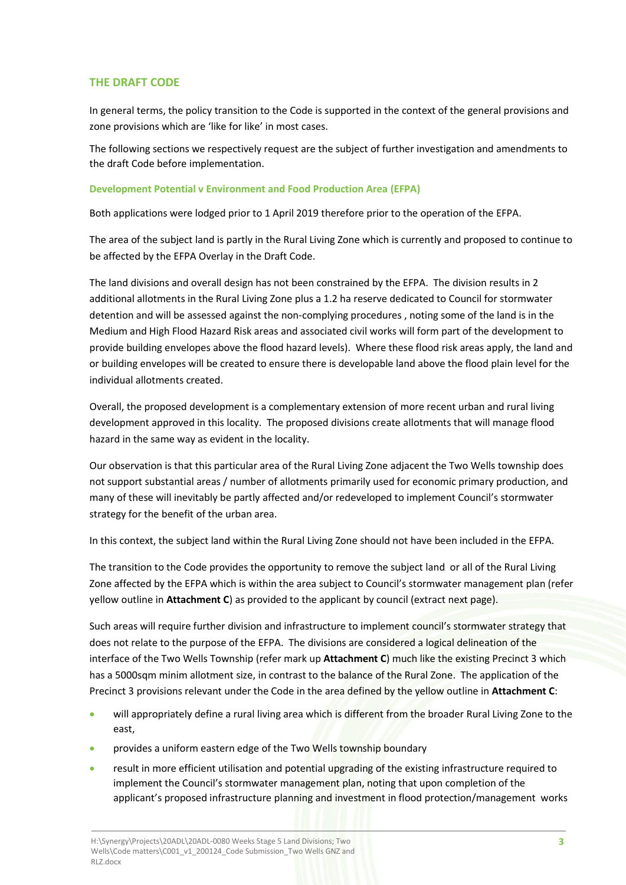# **THE DRAFT CODE**

In general terms, the policy transition to the Code is supported in the context of the general provisions and zone provisions which are 'like for like' in most cases.

The following sections we respectively request are the subject of further investigation and amendments to the draft Code before implementation.

#### **Development Potential v Environment and Food Production Area (EFPA)**

Both applications were lodged prior to 1 April 2019 therefore prior to the operation of the EFPA.

The area of the subject land is partly in the Rural Living Zone which is currently and proposed to continue to be affected by the EFPA Overlay in the Draft Code.

The land divisions and overall design has not been constrained by the EFPA. The division results in 2 additional allotments in the Rural Living Zone plus a 1.2 ha reserve dedicated to Council for stormwater detention and will be assessed against the non-complying procedures , noting some of the land is in the Medium and High Flood Hazard Risk areas and associated civil works will form part of the development to provide building envelopes above the flood hazard levels). Where these flood risk areas apply, the land and or building envelopes will be created to ensure there is developable land above the flood plain level for the individual allotments created.

Overall, the proposed development is a complementary extension of more recent urban and rural living development approved in this locality. The proposed divisions create allotments that will manage flood hazard in the same way as evident in the locality.

Our observation is that this particular area of the Rural Living Zone adjacent the Two Wells township does not support substantial areas / number of allotments primarily used for economic primary production, and many of these will inevitably be partly affected and/or redeveloped to implement Council's stormwater strategy for the benefit of the urban area.

In this context, the subject land within the Rural Living Zone should not have been included in the EFPA.

The transition to the Code provides the opportunity to remove the subject land or all of the Rural Living Zone affected by the EFPA which is within the area subject to Council's stormwater management plan (refer yellow outline in **Attachment C**) as provided to the applicant by council (extract next page).

Such areas will require further division and infrastructure to implement council's stormwater strategy that does not relate to the purpose of the EFPA. The divisions are considered a logical delineation of the interface of the Two Wells Township (refer mark up **Attachment C**) much like the existing Precinct 3 which has a 5000sqm minim allotment size, in contrast to the balance of the Rural Zone. The application of the Precinct 3 provisions relevant under the Code in the area defined by the yellow outline in **Attachment C**:

- will appropriately define a rural living area which is different from the broader Rural Living Zone to the east,
- provides a uniform eastern edge of the Two Wells township boundary
- result in more efficient utilisation and potential upgrading of the existing infrastructure required to implement the Council's stormwater management plan, noting that upon completion of the applicant's proposed infrastructure planning and investment in flood protection/management works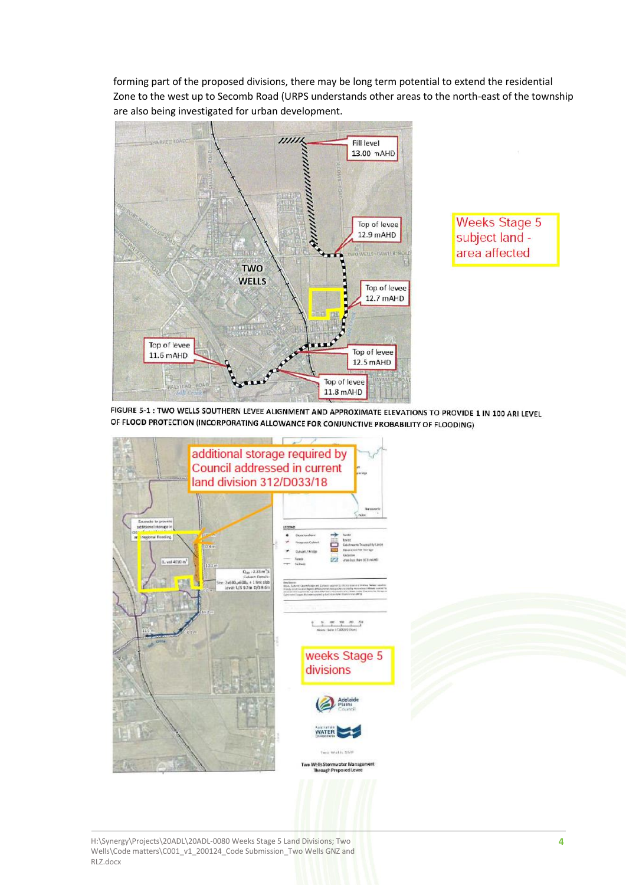forming part of the proposed divisions, there may be long term potential to extend the residential Zone to the west up to Secomb Road (URPS understands other areas to the north-east of the township are also being investigated for urban development.



**Weeks Stage 5** subject land area affected

FIGURE 5-1 : TWO WELLS SOUTHERN LEVEE ALIGNMENT AND APPROXIMATE ELEVATIONS TO PROVIDE 1 IN 100 ARI LEVEL OF FLOOD PROTECTION (INCORPORATING ALLOWANCE FOR CONJUNCTIVE PROBABILITY OF FLOODING)



H:\Synergy\Projects\20ADL\20ADL-0080 Weeks Stage 5 Land Divisions; Two **4** Wells\Code matters\C001\_v1\_200124\_Code Submission\_Two Wells GNZ and RLZ.docx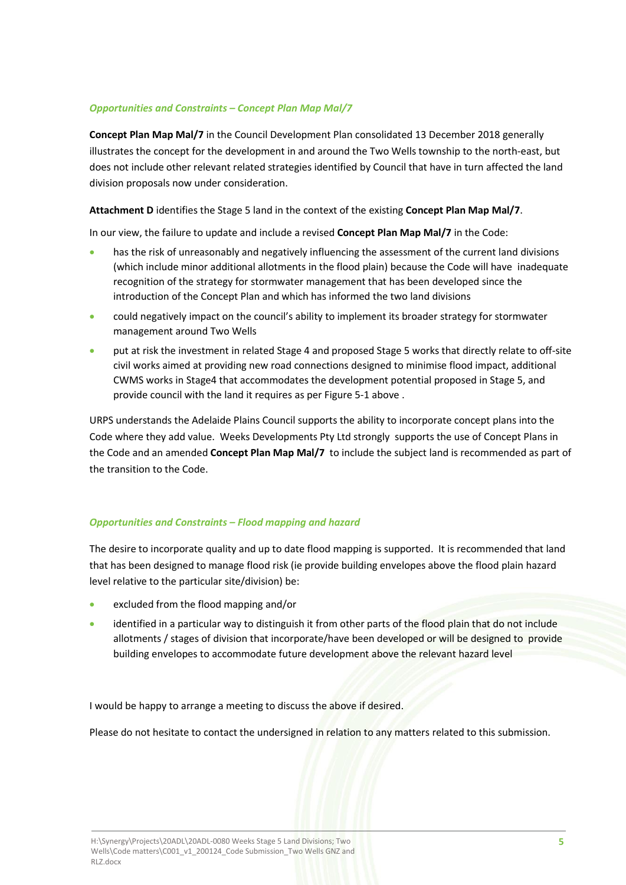## *Opportunities and Constraints – Concept Plan Map Mal/7*

**Concept Plan Map Mal/7** in the Council Development Plan consolidated 13 December 2018 generally illustrates the concept for the development in and around the Two Wells township to the north-east, but does not include other relevant related strategies identified by Council that have in turn affected the land division proposals now under consideration.

## **Attachment D** identifies the Stage 5 land in the context of the existing **Concept Plan Map Mal/7**.

In our view, the failure to update and include a revised **Concept Plan Map Mal/7** in the Code:

- has the risk of unreasonably and negatively influencing the assessment of the current land divisions (which include minor additional allotments in the flood plain) because the Code will have inadequate recognition of the strategy for stormwater management that has been developed since the introduction of the Concept Plan and which has informed the two land divisions
- could negatively impact on the council's ability to implement its broader strategy for stormwater management around Two Wells
- put at risk the investment in related Stage 4 and proposed Stage 5 works that directly relate to off-site civil works aimed at providing new road connections designed to minimise flood impact, additional CWMS works in Stage4 that accommodates the development potential proposed in Stage 5, and provide council with the land it requires as per Figure 5-1 above .

URPS understands the Adelaide Plains Council supports the ability to incorporate concept plans into the Code where they add value. Weeks Developments Pty Ltd strongly supports the use of Concept Plans in the Code and an amended **Concept Plan Map Mal/7** to include the subject land is recommended as part of the transition to the Code.

## *Opportunities and Constraints – Flood mapping and hazard*

The desire to incorporate quality and up to date flood mapping is supported. It is recommended that land that has been designed to manage flood risk (ie provide building envelopes above the flood plain hazard level relative to the particular site/division) be:

- excluded from the flood mapping and/or
- identified in a particular way to distinguish it from other parts of the flood plain that do not include allotments / stages of division that incorporate/have been developed or will be designed to provide building envelopes to accommodate future development above the relevant hazard level

I would be happy to arrange a meeting to discuss the above if desired.

Please do not hesitate to contact the undersigned in relation to any matters related to this submission.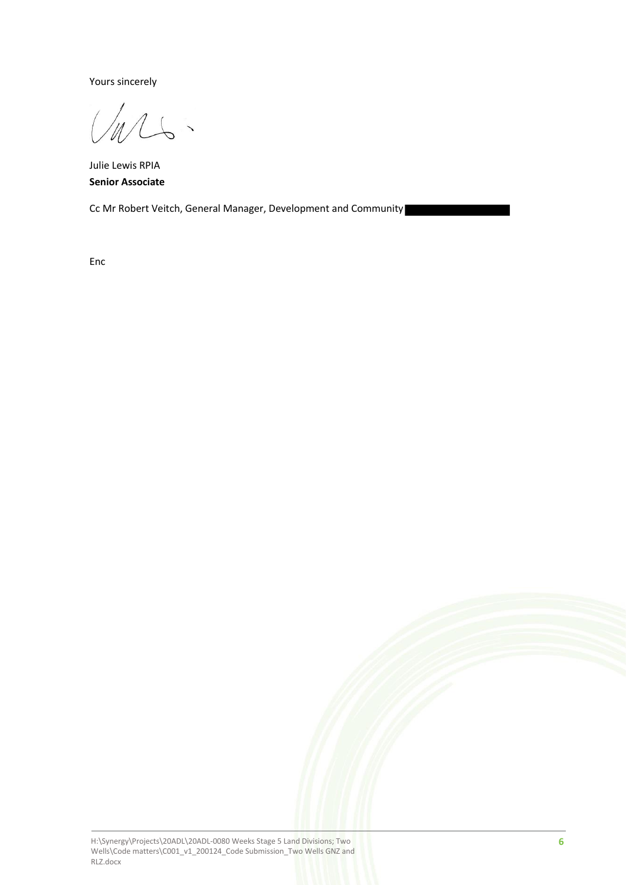Yours sincerely

Vars.

Julie Lewis RPIA **Senior Associate**

Cc Mr Robert Veitch, General Manager, Development and Community

Enc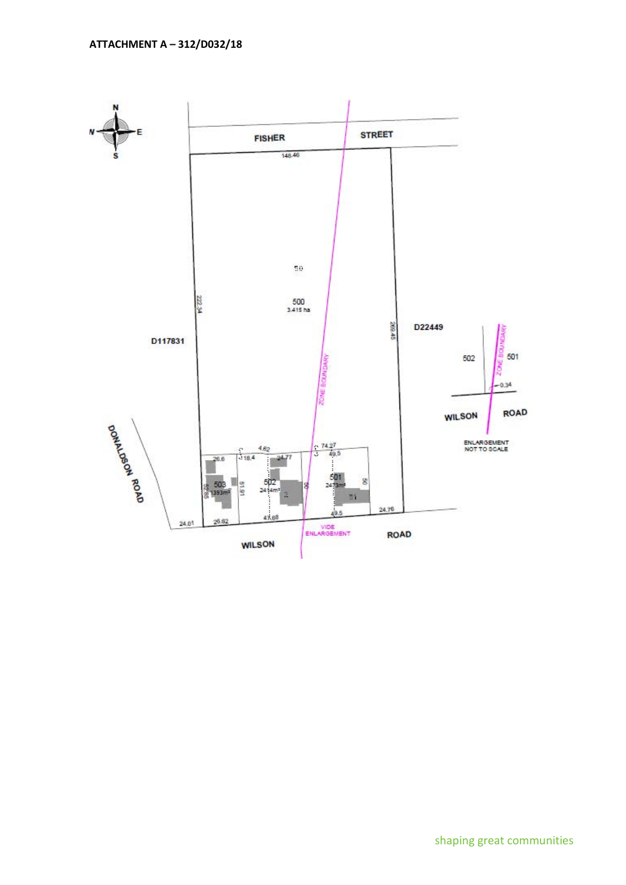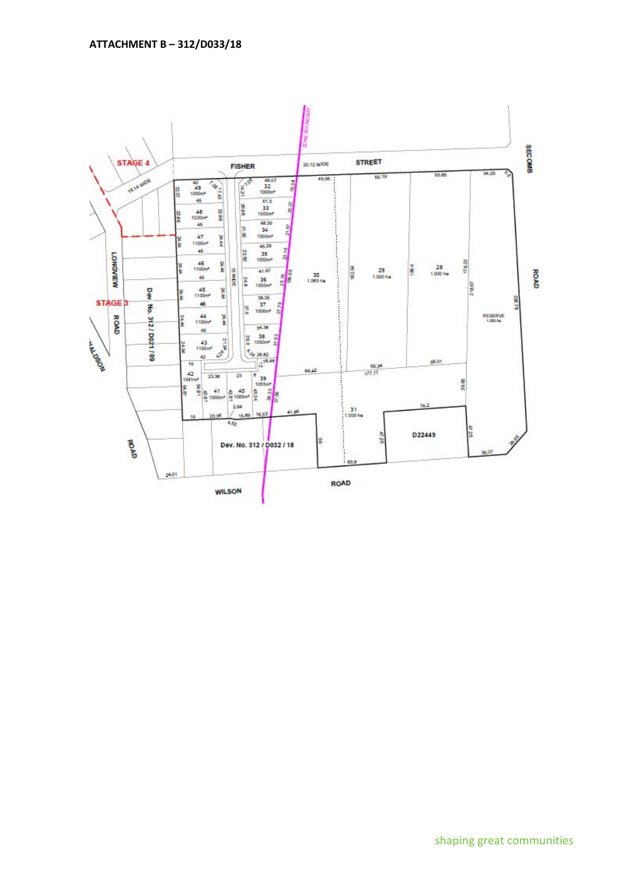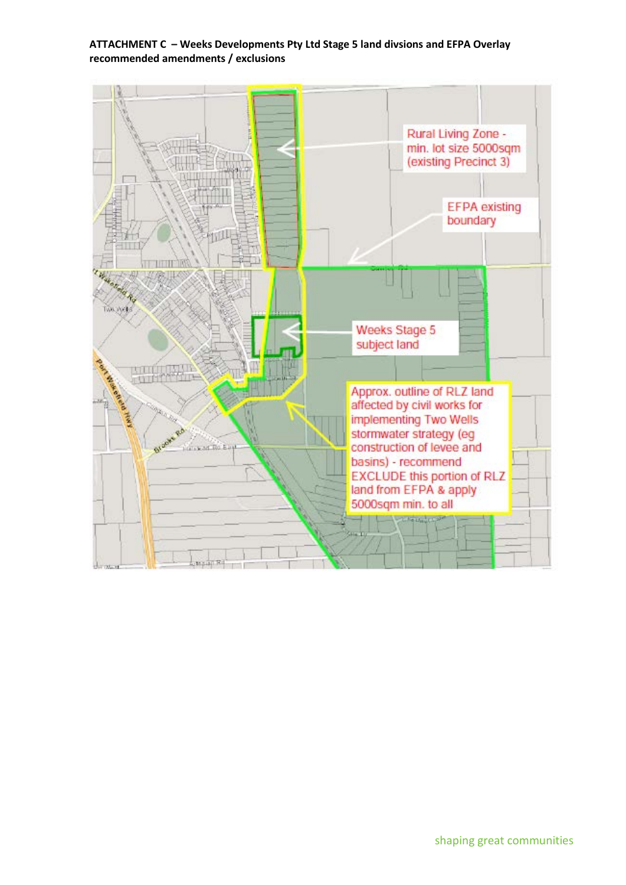**ATTACHMENT C – Weeks Developments Pty Ltd Stage 5 land divsions and EFPA Overlay recommended amendments / exclusions**